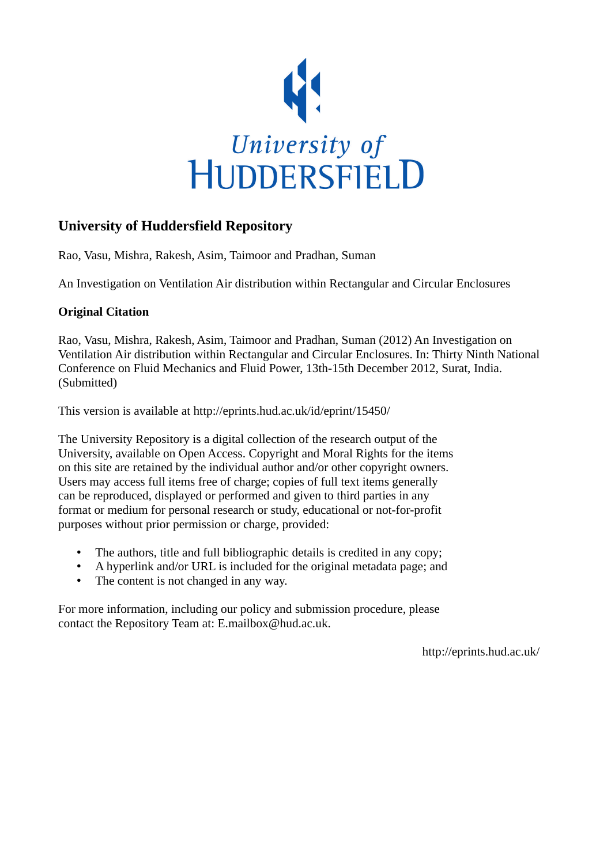

## **University of Huddersfield Repository**

Rao, Vasu, Mishra, Rakesh, Asim, Taimoor and Pradhan, Suman

An Investigation on Ventilation Air distribution within Rectangular and Circular Enclosures

## **Original Citation**

Rao, Vasu, Mishra, Rakesh, Asim, Taimoor and Pradhan, Suman (2012) An Investigation on Ventilation Air distribution within Rectangular and Circular Enclosures. In: Thirty Ninth National Conference on Fluid Mechanics and Fluid Power, 13th-15th December 2012, Surat, India. (Submitted)

This version is available at http://eprints.hud.ac.uk/id/eprint/15450/

The University Repository is a digital collection of the research output of the University, available on Open Access. Copyright and Moral Rights for the items on this site are retained by the individual author and/or other copyright owners. Users may access full items free of charge; copies of full text items generally can be reproduced, displayed or performed and given to third parties in any format or medium for personal research or study, educational or not-for-profit purposes without prior permission or charge, provided:

- The authors, title and full bibliographic details is credited in any copy;
- A hyperlink and/or URL is included for the original metadata page; and
- The content is not changed in any way.

For more information, including our policy and submission procedure, please contact the Repository Team at: E.mailbox@hud.ac.uk.

http://eprints.hud.ac.uk/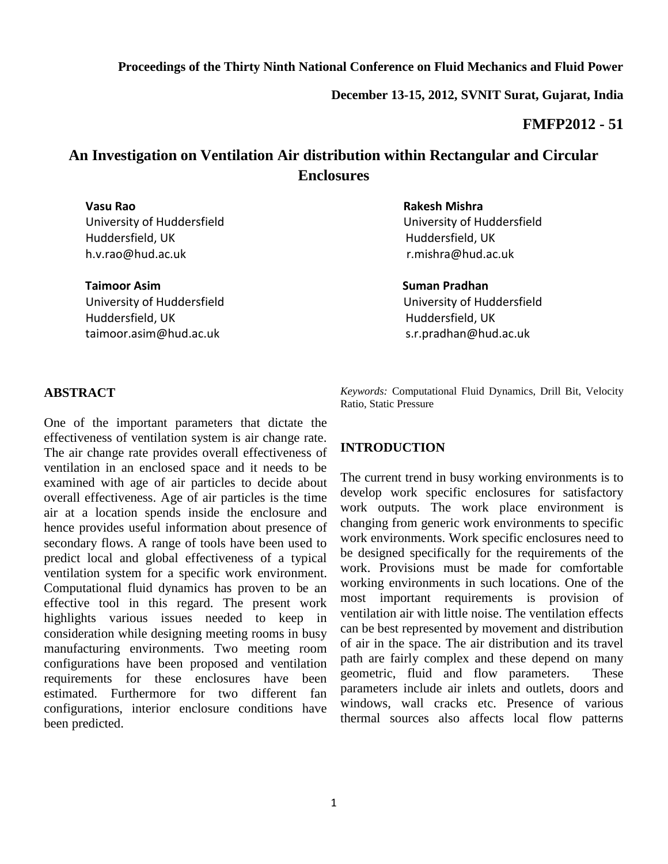**December 13-15, 2012, SVNIT Surat, Gujarat, India**

### **FMFP2012 - 51**

# **An Investigation on Ventilation Air distribution within Rectangular and Circular Enclosures**

 Huddersfield, UK Huddersfield, UK h.v.rao@hud.ac.uk r.mishra@hud.ac.uk

**Taimoor Asim** Suman Pradhan Number 2012 at the Suman Pradhan University of Huddersfield University of Huddersfield Huddersfield, UK and the UK Huddersfield, UK taimoor.asim@hud.ac.uk s.r.pradhan@hud.ac.uk

#### **Vasu Rao Rakesh Mishra**

University of Huddersfield University of Huddersfield

#### **ABSTRACT**

One of the important parameters that dictate the effectiveness of ventilation system is air change rate. The air change rate provides overall effectiveness of ventilation in an enclosed space and it needs to be examined with age of air particles to decide about overall effectiveness. Age of air particles is the time air at a location spends inside the enclosure and hence provides useful information about presence of secondary flows. A range of tools have been used to predict local and global effectiveness of a typical ventilation system for a specific work environment. Computational fluid dynamics has proven to be an effective tool in this regard. The present work highlights various issues needed to keep in consideration while designing meeting rooms in busy manufacturing environments. Two meeting room configurations have been proposed and ventilation requirements for these enclosures have been estimated. Furthermore for two different fan configurations, interior enclosure conditions have been predicted.

*Keywords:* Computational Fluid Dynamics, Drill Bit, Velocity Ratio, Static Pressure

#### **INTRODUCTION**

The current trend in busy working environments is to develop work specific enclosures for satisfactory work outputs. The work place environment is changing from generic work environments to specific work environments. Work specific enclosures need to be designed specifically for the requirements of the work. Provisions must be made for comfortable working environments in such locations. One of the most important requirements is provision of ventilation air with little noise. The ventilation effects can be best represented by movement and distribution of air in the space. The air distribution and its travel path are fairly complex and these depend on many geometric, fluid and flow parameters. These parameters include air inlets and outlets, doors and windows, wall cracks etc. Presence of various thermal sources also affects local flow patterns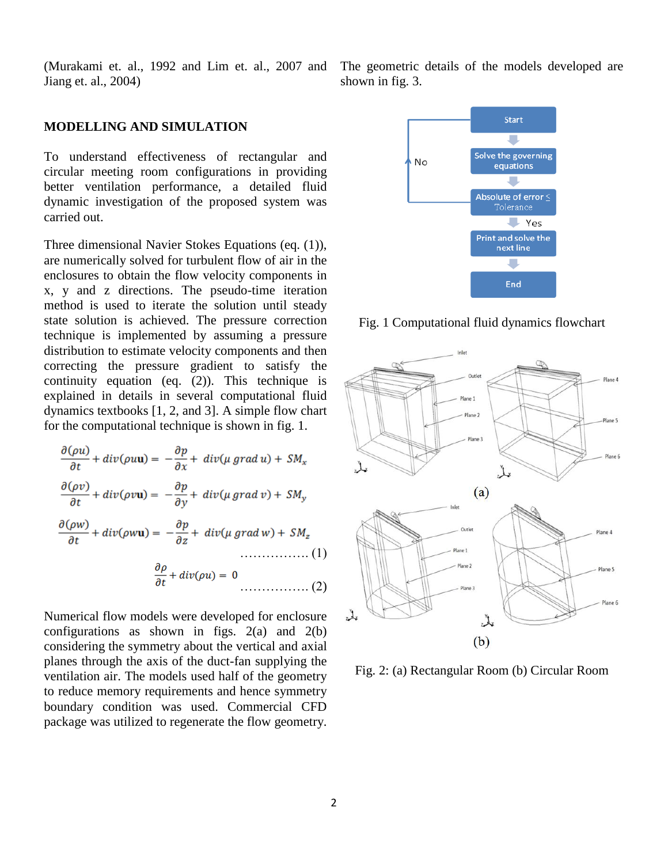(Murakami et. al., 1992 and Lim et. al., 2007 and Jiang et. al., 2004)

### **MODELLING AND SIMULATION**

To understand effectiveness of rectangular and circular meeting room configurations in providing better ventilation performance, a detailed fluid dynamic investigation of the proposed system was carried out.

Three dimensional Navier Stokes Equations (eq. (1)), are numerically solved for turbulent flow of air in the enclosures to obtain the flow velocity components in x, y and z directions. The pseudo-time iteration method is used to iterate the solution until steady state solution is achieved. The pressure correction technique is implemented by assuming a pressure distribution to estimate velocity components and then correcting the pressure gradient to satisfy the continuity equation (eq. (2)). This technique is explained in details in several computational fluid dynamics textbooks [1, 2, and 3]. A simple flow chart for the computational technique is shown in fig. 1.

$$
\frac{\partial(\rho u)}{\partial t} + div(\rho u \mathbf{u}) = -\frac{\partial p}{\partial x} + div(\mu \operatorname{grad} u) + SM_x
$$

$$
\frac{\partial(\rho v)}{\partial t} + div(\rho v \mathbf{u}) = -\frac{\partial p}{\partial y} + div(\mu \operatorname{grad} v) + SM_y
$$

$$
\frac{\partial(\rho w)}{\partial t} + div(\rho w \mathbf{u}) = -\frac{\partial p}{\partial z} + div(\mu \operatorname{grad} w) + SM_z
$$

$$
\frac{\partial \rho}{\partial t} + div(\rho u) = 0
$$
 (2)

Numerical flow models were developed for enclosure configurations as shown in figs.  $2(a)$  and  $2(b)$ considering the symmetry about the vertical and axial planes through the axis of the duct-fan supplying the ventilation air. The models used half of the geometry to reduce memory requirements and hence symmetry boundary condition was used. Commercial CFD package was utilized to regenerate the flow geometry. The geometric details of the models developed are shown in fig. 3.



Fig. 1 Computational fluid dynamics flowchart



Fig. 2: (a) Rectangular Room (b) Circular Room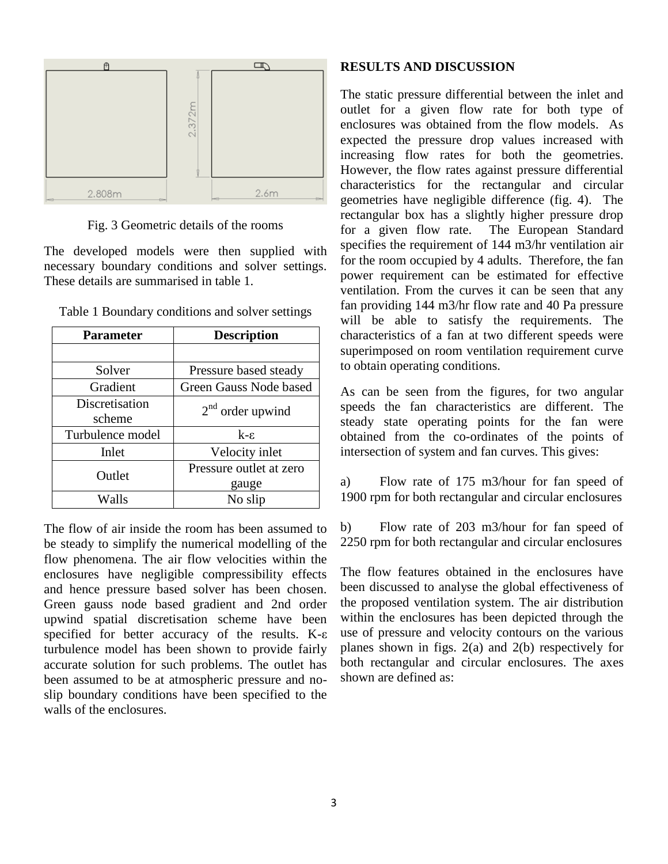

Fig. 3 Geometric details of the rooms

The developed models were then supplied with necessary boundary conditions and solver settings. These details are summarised in table 1.

| <b>Parameter</b> | <b>Description</b>      |
|------------------|-------------------------|
|                  |                         |
| Solver           | Pressure based steady   |
| Gradient         | Green Gauss Node based  |
| Discretisation   | $2nd$ order upwind      |
| scheme           |                         |
| Turbulence model | $k - \varepsilon$       |
| Inlet            | Velocity inlet          |
| Outlet           | Pressure outlet at zero |
|                  | gauge                   |
| Walls            | No slip                 |

Table 1 Boundary conditions and solver settings

The flow of air inside the room has been assumed to be steady to simplify the numerical modelling of the flow phenomena. The air flow velocities within the enclosures have negligible compressibility effects and hence pressure based solver has been chosen. Green gauss node based gradient and 2nd order upwind spatial discretisation scheme have been specified for better accuracy of the results. K-ε turbulence model has been shown to provide fairly accurate solution for such problems. The outlet has been assumed to be at atmospheric pressure and noslip boundary conditions have been specified to the walls of the enclosures.

#### **RESULTS AND DISCUSSION**

The static pressure differential between the inlet and outlet for a given flow rate for both type of enclosures was obtained from the flow models. As expected the pressure drop values increased with increasing flow rates for both the geometries. However, the flow rates against pressure differential characteristics for the rectangular and circular geometries have negligible difference (fig. 4). The rectangular box has a slightly higher pressure drop for a given flow rate. The European Standard specifies the requirement of 144 m3/hr ventilation air for the room occupied by 4 adults. Therefore, the fan power requirement can be estimated for effective ventilation. From the curves it can be seen that any fan providing 144 m3/hr flow rate and 40 Pa pressure will be able to satisfy the requirements. The characteristics of a fan at two different speeds were superimposed on room ventilation requirement curve to obtain operating conditions.

As can be seen from the figures, for two angular speeds the fan characteristics are different. The steady state operating points for the fan were obtained from the co-ordinates of the points of intersection of system and fan curves. This gives:

a) Flow rate of 175 m3/hour for fan speed of 1900 rpm for both rectangular and circular enclosures

b) Flow rate of 203 m3/hour for fan speed of 2250 rpm for both rectangular and circular enclosures

The flow features obtained in the enclosures have been discussed to analyse the global effectiveness of the proposed ventilation system. The air distribution within the enclosures has been depicted through the use of pressure and velocity contours on the various planes shown in figs. 2(a) and 2(b) respectively for both rectangular and circular enclosures. The axes shown are defined as: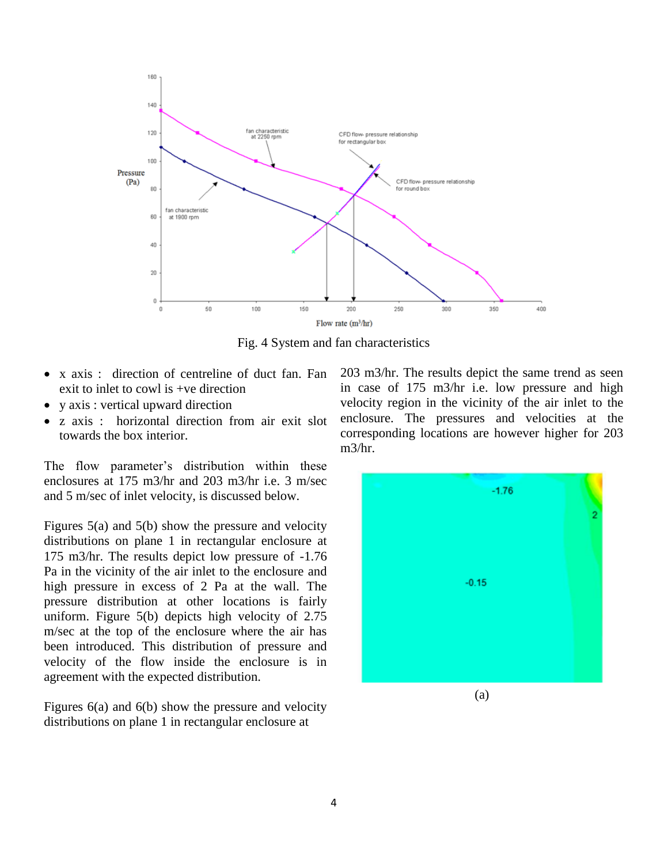

Fig. 4 System and fan characteristics

- x axis : direction of centreline of duct fan. Fan exit to inlet to cowl is +ve direction
- y axis : vertical upward direction
- z axis : horizontal direction from air exit slot towards the box interior.

The flow parameter's distribution within these enclosures at 175 m3/hr and 203 m3/hr i.e. 3 m/sec and 5 m/sec of inlet velocity, is discussed below.

Figures 5(a) and 5(b) show the pressure and velocity distributions on plane 1 in rectangular enclosure at 175 m3/hr. The results depict low pressure of -1.76 Pa in the vicinity of the air inlet to the enclosure and high pressure in excess of 2 Pa at the wall. The pressure distribution at other locations is fairly uniform. Figure 5(b) depicts high velocity of 2.75 m/sec at the top of the enclosure where the air has been introduced. This distribution of pressure and velocity of the flow inside the enclosure is in agreement with the expected distribution.

Figures 6(a) and 6(b) show the pressure and velocity distributions on plane 1 in rectangular enclosure at

203 m3/hr. The results depict the same trend as seen in case of 175 m3/hr i.e. low pressure and high velocity region in the vicinity of the air inlet to the enclosure. The pressures and velocities at the corresponding locations are however higher for 203 m3/hr.

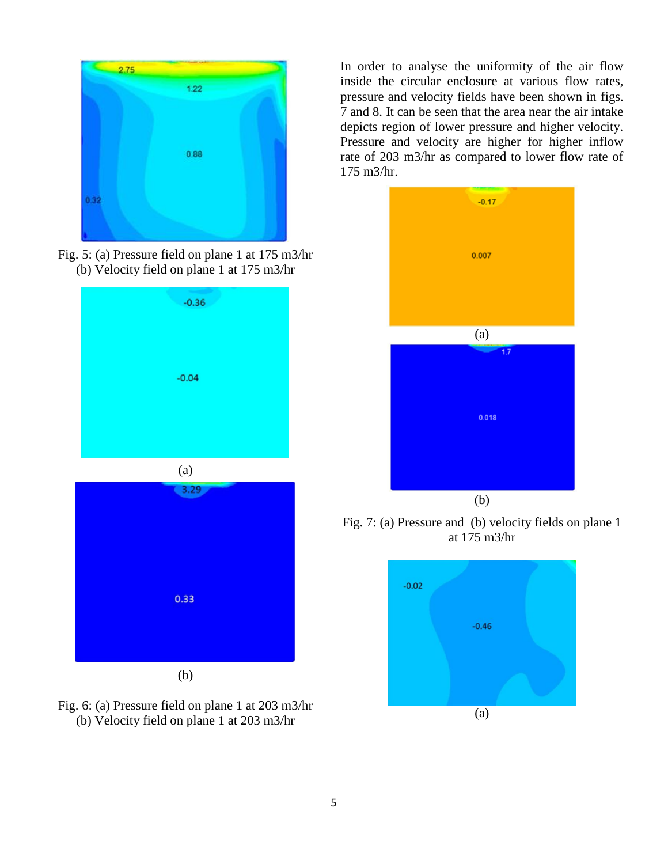

Fig. 5: (a) Pressure field on plane 1 at 175 m3/hr (b) Velocity field on plane 1 at 175 m3/hr





Fig. 6: (a) Pressure field on plane 1 at 203 m3/hr (b) Velocity field on plane 1 at 203 m3/hr

In order to analyse the uniformity of the air flow inside the circular enclosure at various flow rates, pressure and velocity fields have been shown in figs. 7 and 8. It can be seen that the area near the air intake depicts region of lower pressure and higher velocity. Pressure and velocity are higher for higher inflow rate of 203 m3/hr as compared to lower flow rate of 175 m3/hr.



Fig. 7: (a) Pressure and (b) velocity fields on plane 1 at 175 m3/hr

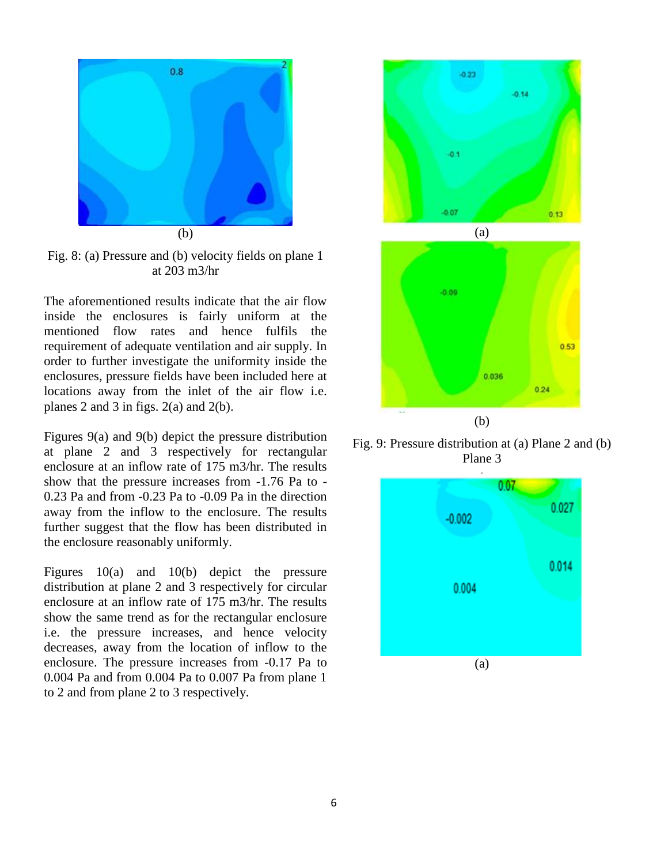

Fig. 8: (a) Pressure and (b) velocity fields on plane 1 at 203 m3/hr

The aforementioned results indicate that the air flow inside the enclosures is fairly uniform at the mentioned flow rates and hence fulfils the requirement of adequate ventilation and air supply. In order to further investigate the uniformity inside the enclosures, pressure fields have been included here at locations away from the inlet of the air flow i.e. planes 2 and 3 in figs. 2(a) and 2(b).

Figures 9(a) and 9(b) depict the pressure distribution at plane 2 and 3 respectively for rectangular enclosure at an inflow rate of 175 m3/hr. The results show that the pressure increases from -1.76 Pa to - 0.23 Pa and from -0.23 Pa to -0.09 Pa in the direction away from the inflow to the enclosure. The results further suggest that the flow has been distributed in the enclosure reasonably uniformly.

Figures 10(a) and 10(b) depict the pressure distribution at plane 2 and 3 respectively for circular enclosure at an inflow rate of 175 m3/hr. The results show the same trend as for the rectangular enclosure i.e. the pressure increases, and hence velocity decreases, away from the location of inflow to the enclosure. The pressure increases from -0.17 Pa to 0.004 Pa and from 0.004 Pa to 0.007 Pa from plane 1 to 2 and from plane 2 to 3 respectively.



Fig. 9: Pressure distribution at (a) Plane 2 and (b) Plane 3

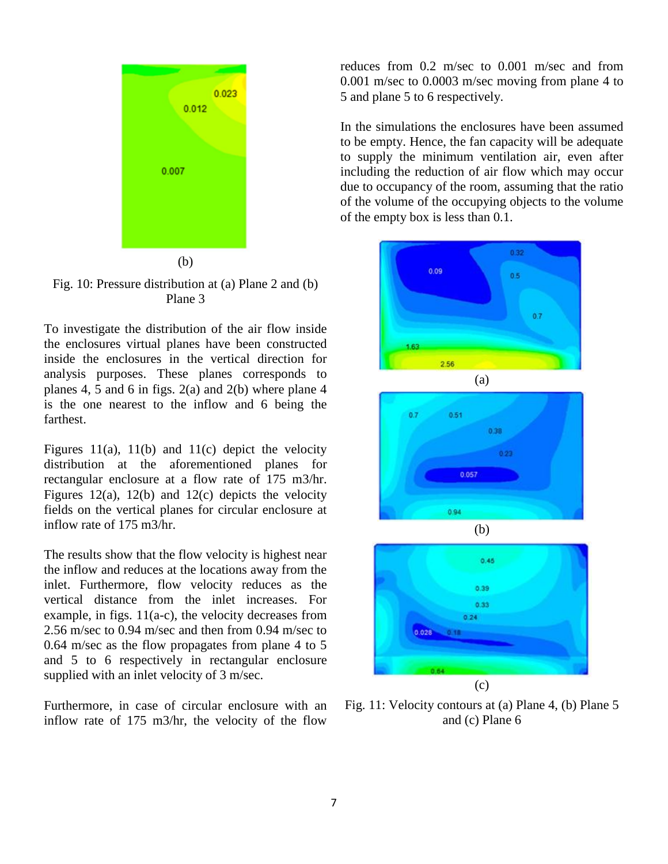

Fig. 10: Pressure distribution at (a) Plane 2 and (b) Plane 3

To investigate the distribution of the air flow inside the enclosures virtual planes have been constructed inside the enclosures in the vertical direction for analysis purposes. These planes corresponds to planes 4, 5 and 6 in figs.  $2(a)$  and  $2(b)$  where plane 4 is the one nearest to the inflow and 6 being the farthest.

Figures 11(a), 11(b) and 11(c) depict the velocity distribution at the aforementioned planes for rectangular enclosure at a flow rate of 175 m3/hr. Figures 12(a), 12(b) and 12(c) depicts the velocity fields on the vertical planes for circular enclosure at inflow rate of 175 m3/hr.

The results show that the flow velocity is highest near the inflow and reduces at the locations away from the inlet. Furthermore, flow velocity reduces as the vertical distance from the inlet increases. For example, in figs. 11(a-c), the velocity decreases from 2.56 m/sec to 0.94 m/sec and then from 0.94 m/sec to 0.64 m/sec as the flow propagates from plane 4 to 5 and 5 to 6 respectively in rectangular enclosure supplied with an inlet velocity of 3 m/sec.

Furthermore, in case of circular enclosure with an inflow rate of 175 m3/hr, the velocity of the flow

reduces from 0.2 m/sec to 0.001 m/sec and from 0.001 m/sec to 0.0003 m/sec moving from plane 4 to 5 and plane 5 to 6 respectively.

In the simulations the enclosures have been assumed to be empty. Hence, the fan capacity will be adequate to supply the minimum ventilation air, even after including the reduction of air flow which may occur due to occupancy of the room, assuming that the ratio of the volume of the occupying objects to the volume of the empty box is less than 0.1.







Fig. 11: Velocity contours at (a) Plane 4, (b) Plane 5 and (c) Plane 6